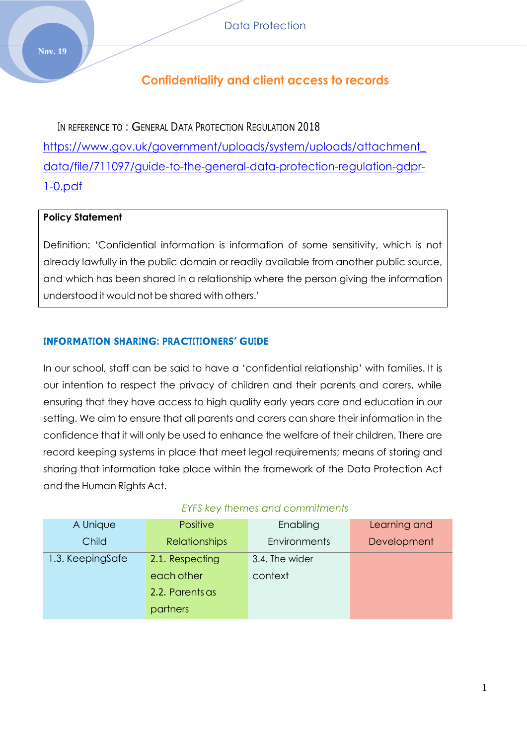# **Confidentiality and client access to records**

IN REFERENCE TO: GENERAL DATA PROTECTION REGULATION 2018 [https://www.gov.uk/government/uploads/system/uploads/attachment\\_](https://www.gov.uk/government/uploads/system/uploads/attachment_data/file/711097/guide-to-the-general-data-protection-regulation-gdpr-1-0.pdf) [data/file/711097/guide-to-the-general-data-protection-regulation-gdpr-](https://www.gov.uk/government/uploads/system/uploads/attachment_data/file/711097/guide-to-the-general-data-protection-regulation-gdpr-1-0.pdf)[1-0.pdf](https://www.gov.uk/government/uploads/system/uploads/attachment_data/file/711097/guide-to-the-general-data-protection-regulation-gdpr-1-0.pdf)

#### **Policy Statement**

Definition: 'Confidential information is information of some sensitivity, which is not already lawfully in the public domain or readily available from another public source, and which has been shared in a relationship where the person giving the information understood it would not be shared with others.'

#### **INFORMATION SHARING: PRACTITIONERS' GUIDE**

In our school, staff can be said to have a 'confidential relationship' with families. It is our intention to respect the privacy of children and their parents and carers, while ensuring that they have access to high quality early years care and education in our setting. We aim to ensure that all parents and carers can share their information in the confidence that it will only be used to enhance the welfare of their children. There are record keeping systems in place that meet legal requirements; means of storing and sharing that information take place within the framework of the Data Protection Act and the Human Rights Act.

| A Unique         | <b>Positive</b>      | Enabling            | Learning and |
|------------------|----------------------|---------------------|--------------|
| Child            | <b>Relationships</b> | <b>Environments</b> | Development  |
| 1.3. KeepingSafe | 2.1. Respecting      | 3.4. The wider      |              |
|                  | each other           | context             |              |
|                  | 2.2. Parents as      |                     |              |
|                  | partners             |                     |              |

#### *EYFS key themes and commitments*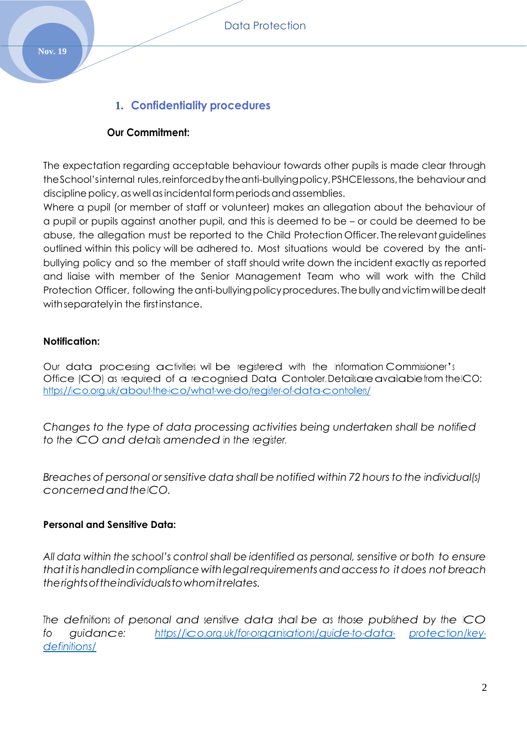## **1. Confidentiality procedures**

## **Our Commitment:**

The expectation regarding acceptable behaviour towards other pupils is made clear through theSchool'sinternal rules,reinforcedbytheanti-bullyingpolicy,PSHCElessons,the behaviour and discipline policy, as well as incidental form periods and assemblies.

Where a pupil (or member of staff or volunteer) makes an allegation about the behaviour of a pupil or pupils against another pupil, and this is deemed to be – or could be deemed to be abuse, the allegation must be reported to the Child Protection Officer. Therelevantguidelines outlined within this policy will be adhered to. Most situations would be covered by the antibullying policy and so the member of staff should write down the incident exactly as reported and liaise with member of the Senior Management Team who will work with the Child Protection Officer, following the anti-bullying policy procedures. The bully and victim will be dealt withseparatelyin the firstinstance.

### **Notification:**

Our data processing activities will be registered with the Information Commissioner'<sup>s</sup> Office (CO) as required of a recognised Data Controller. Detailsareavailablefrom the ICO: <https://ico.org.uk/about-the-ico/what-we-do/register-of-data-controllers/>

*Changes to the type of data processing activities being undertaken shall be notified to the ICO and details amended in the register.*

*Breaches of personal or sensitive data shall be notified within 72 hours to the individual(s) concernedandtheICO.*

### **Personal and Sensitive Data:**

*All data within the school's control shall be identified as personal, sensitive or both to ensure thatitishandledincompliance withlegal requirementsandaccessto itdoes not breach therightsoftheindividualstowhomitrelates.*

*The definitions of personal and sensitive data shall be as those published by the ICO fo guidance: [https://ico.org.uk/for-organisations/guide-to-data-](https://ico.org.uk/for-organisations/guide-to-data-protection/key-definitions/) [protection/key](https://ico.org.uk/for-organisations/guide-to-data-protection/key-definitions/)[definitions/](https://ico.org.uk/for-organisations/guide-to-data-protection/key-definitions/)*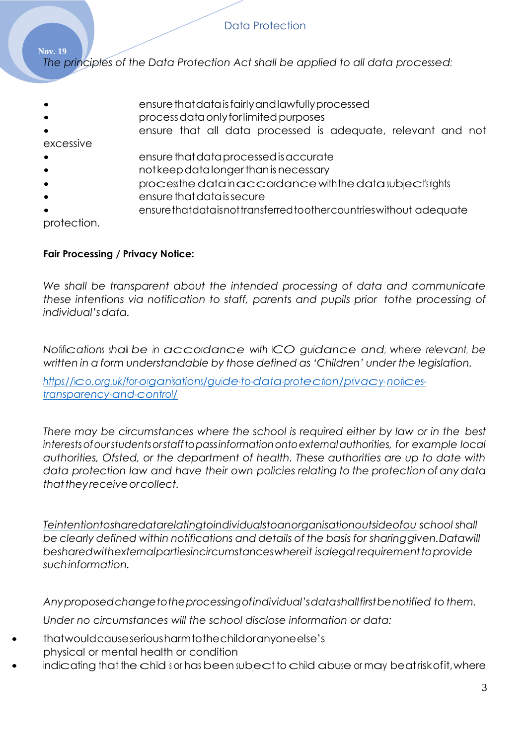**Nov. 19** *The principles of the Data Protection Act shall be applied to all data processed:*

- ensure that data is fairly and lawfully processed
- processdataonlyforlimitedpurposes
- ensure that all data processed is adequate, relevant and not excessive
- ensure that data processed is accurate
- notkeepdatalongerthanisnecessary
- process thedatainaccordancewiththedatasubject's rights
- ensure that data is secure
- ensurethatdataisnottransferredtoothercountrieswithout adequate

protection.

## **Fair Processing / Privacy Notice:**

*We shall be transparent about the intended processing of data and communicate these intentions via notification to staff, parents and pupils prior tothe processing of individual'sdata.*

*Notifications shall be in accordance with ICO guidance and, where relevant, be written in a form understandable by those defined as 'Children' under the legislation.*

*[https://ico.org.uk/for-organisations/guide-to-data-protection/privacy-](https://ico.org.uk/for-organisations/guide-to-data-protection/privacy-notices-transparency-and-control/) [notices](https://ico.org.uk/for-organisations/guide-to-data-protection/privacy-notices-transparency-and-control/)[transparency-and-control/](https://ico.org.uk/for-organisations/guide-to-data-protection/privacy-notices-transparency-and-control/)*

*There may be circumstances where the school is required either by law or in the best interestsofourstudentsorstafftopassinformationontoexternalauthorities, for example local authorities, Ofsted, or the department of health. These authorities are up to date with data protection law and have their own policies relating to the protection of anydata thattheyreceiveorcollect.*

*Teintentiontosharedatarelatingtoindividualstoanorganisationoutsideofou school shall be clearly defined within notifications and details of the basis for sharinggiven.Datawill besharedwithexternalpartiesincircumstanceswhereit isalegal requirementtoprovide suchinformation.*

*Anyproposedchangetotheprocessingofindividual'sdatashallfirstbenotified to them. Under no circumstances will the school disclose information or data:*

- thatwouldcauseseriousharmtothechildoranyoneelse's physical or mental health or condition
- indicating that the child is or has been subject to child abuse or may beatrisk of it, where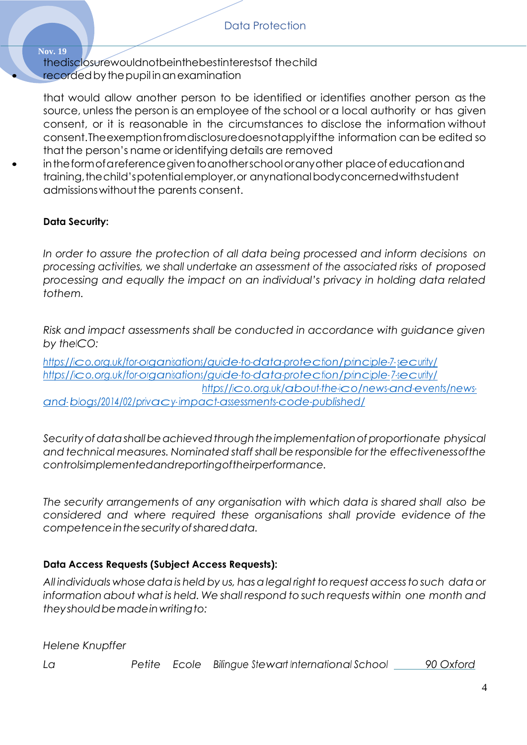**Nov. 19** thedisclosurewouldnotbeinthebestinterestsof thechild recorded by the pupil in an examination

that would allow another person to be identified or identifies another person as the source, unless the person is an employee of the school or a local authority or has given consent, or it is reasonable in the circumstances to disclose the information without consent.Theexemptionfromdisclosuredoesnotapplyifthe information can be edited so that the person's name or identifying details are removed

• intheformofareferencegiventoanotherschooloranyother placeofeducationand training, the child's potential employer, or anynational bodyconcerned with student admissionswithoutthe parents consent.

## **Data Security:**

*In order to assure the protection of all data being processed and inform decisions on processing activities, we shall undertake an assessment of the associated risks of proposed processing and equally the impact on an individual's privacy in holding data related tothem.*

*Risk and impact assessments shall be conducted in accordance with guidance given by theICO:*

*[https://ico.org.uk/for-organisations/guide-to-data-protection/principle-7-](https://ico.org.uk/for-organisations/guide-to-data-protection/principle-7-security/) [security/](https://ico.org.uk/for-organisations/guide-to-data-protection/principle-7-security/) [https://ico.org.uk/for-organisations/guide-to-data-protection/principle-](https://ico.org.uk/for-organisations/guide-to-data-protection/principle-7-security/) [7-security/](https://ico.org.uk/for-organisations/guide-to-data-protection/principle-7-security/) [https://ico.org.uk/about-the-ico/news-and-events/news](https://ico.org.uk/about-the-ico/news-and-events/news-and-blogs/2014/02/privacy-impact-assessments-code-published/)[and-](https://ico.org.uk/about-the-ico/news-and-events/news-and-blogs/2014/02/privacy-impact-assessments-code-published/) [blogs/2014/02/privacy-](https://ico.org.uk/about-the-ico/news-and-events/news-and-blogs/2014/02/privacy-impact-assessments-code-published/) [impact-assessments-code-published/](https://ico.org.uk/about-the-ico/news-and-events/news-and-blogs/2014/02/privacy-impact-assessments-code-published/)*

*Securityofdatashallbeachievedthroughtheimplementationofproportionate physical and technical measures. Nominated staff shall be responsible for the effectivenessofthe controlsimplementedandreportingoftheirperformance.*

*The security arrangements of any organisation with which data is shared shall also be considered and where required these organisations shall provide evidence of the competenceinthesecurityofshareddata.*

## **Data Access Requests (Subject Access Requests):**

*All individuals whosedatais held by us, hasalegal right torequest accesstosuch data or information about what is held. We shall respond to such requests within one month and theyshouldbemadeinwritingto:*

*Helene Knupffer*

*La Petite Ecole Bilingue Stewart International School 90 Oxford*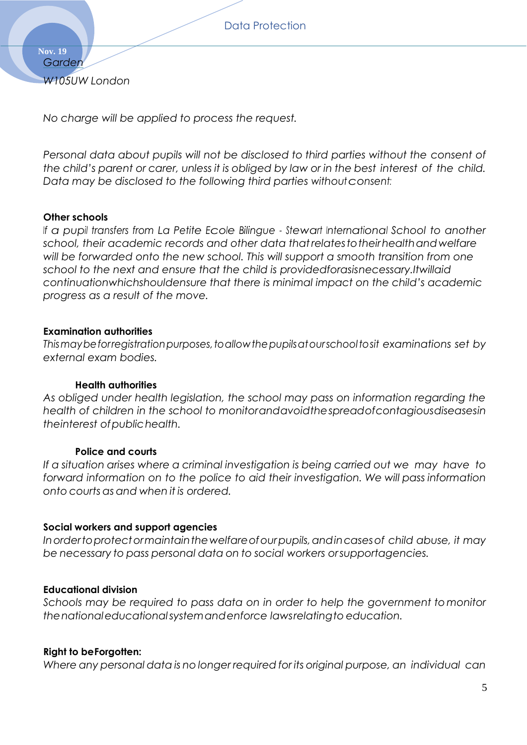**Nov. 19** *Garden W105UW London*

*No charge will be applied to process the request.*

*Personal data about pupils will not be disclosed to third parties without the consent of the child's parent or carer, unless it is obliged by law or in the best interest of the child. Data may be disclosed to the following third parties withoutconsent:*

#### **Other schools**

*If a pupil transfers from La Petite Ecole Bilingue - Stewart International School to another school, their academic records and other data thatrelatestotheirhealthandwelfare will be forwarded onto the new school. This will support a smooth transition from one school to the next and ensure that the child is providedforasisnecessary.Itwillaid continuationwhichshouldensure that there is minimal impact on the child's academic progress as a result of the move.*

#### **Examination authorities**

*Thismaybeforregistrationpurposes,toallowthepupilsatourschooltosit examinations set by external exam bodies.*

#### **Health authorities**

*As obliged under health legislation, the school may pass on information regarding the health of children in the school to monitorandavoidthespreadofcontagiousdiseasesin theinterest ofpublichealth.*

#### **Police and courts**

*If a situation arises where a criminal investigation is being carried out we may have to forward information on to the police to aid their investigation. We will pass information onto courts as and when it is ordered.*

#### **Social workers and support agencies**

*Inordertoprotectormaintainthewelfareofourpupils,andincasesof child abuse, it may be necessary to pass personal data on to social workers orsupportagencies.*

#### **Educational division**

*Schools may be required to pass data on in order to help the government tomonitor thenationaleducationalsystemandenforce lawsrelatingto education.*

#### **Right to beForgotten:**

*Where any personal data is no longer required for its original purpose, an individual can*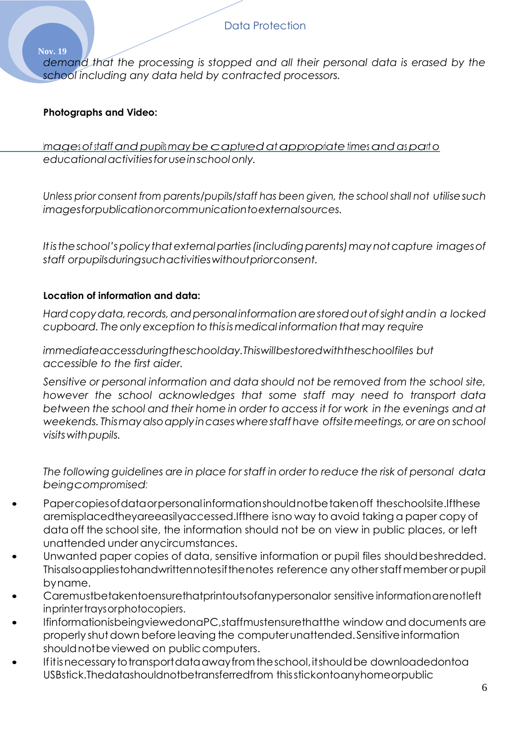*demand that the processing is stopped and all their personal data is erased by the school including any data held by contracted processors.*

## **Photographs and Video:**

**Nov. 19**

*Images* of *staff and pupils may be captured at appropriate times and as parto educationalactivitiesforuseinschoolonly.*

*Unless prior consent from parents/pupils/staff has been given, the school shall not utilisesuch imagesforpublicationorcommunicationtoexternalsources.*

*Itistheschool'spolicythatexternalparties(includingparents)maynotcapture imagesof staff orpupilsduringsuchactivitieswithoutpriorconsent.*

## **Location of information and data:**

*Hardcopydata, records,andpersonal informationarestoredoutofsightandin a locked cupboard. Theonly exception tothisismedical information that may require*

*immediateaccessduringtheschoolday.Thiswillbestoredwiththeschoolfiles but accessible to the first aider.*

*Sensitive or personal information and data should not be removed from the school site, however the school acknowledges that some staff may need to transport data between the school and their home in order to access it for work in the evenings and at weekends. Thismayalsoapplyincaseswherestaffhave offsitemeetings,or areon school visitswithpupils.*

*The following guidelines are in place for staff in order to reduce the risk of personal data beingcompromised:*

- Papercopiesofdataorpersonal informationshouldnotbetakenoff theschoolsite.Ifthese aremisplacedtheyareeasilyaccessed.Ifthere isno way to avoid taking a paper copy of data off the school site, the information should not be on view in public places, or left unattended under anycircumstances.
- Unwanted paper copies of data, sensitive information or pupil files should beshredded. Thisalsoappliestohandwrittennotesifthenotes reference anyotherstaffmemberorpupil byname.
- Caremustbetakentoensurethatprintoutsofanypersonalor sensitive informationarenotleft inprintertraysorphotocopiers.
- IfinformationisbeingviewedonaPC,staffmustensurethatthe window and documents are properly shut down before leaving the computer unattended. Sensitive information should not be viewed on public computers.
- Ifitis necessary to transport data away from the school, it should be downloadedontoa USBstick.Thedatashouldnotbetransferredfrom thisstickontoanyhomeorpublic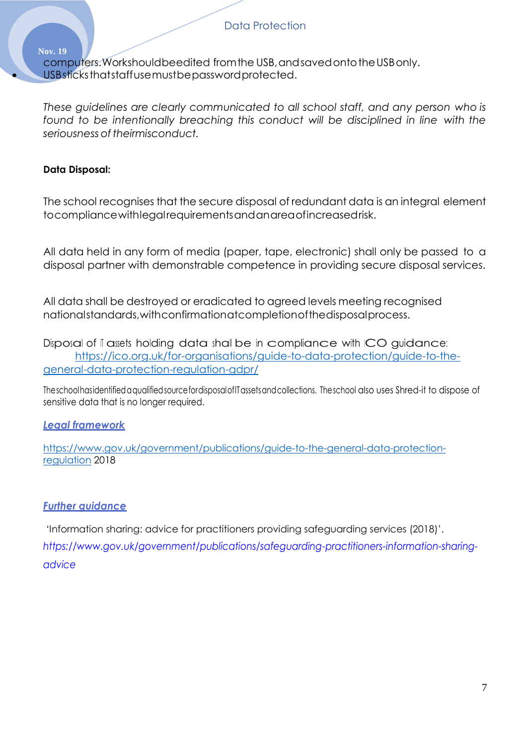**Nov. 19** computers.Workshouldbeedited fromthe USB,andsavedontotheUSBonly. USB sticks that staff use must be password protected.

*These guidelines are clearly communicated to all school staff, and any person who is found to be intentionally breaching this conduct will be disciplined in line with the seriousness of theirmisconduct.*

### **Data Disposal:**

The school recognises that the secure disposal of redundant data is an integral element tocompliancewithlegalrequirementsandanareaofincreasedrisk.

All data held in any form of media (paper, tape, electronic) shall only be passed to a disposal partner with demonstrable competence in providing secure disposal services.

All data shall be destroyed or eradicated to agreed levels meeting recognised nationalstandards,withconfirmationatcompletionofthedisposalprocess.

Disposal of II assets holding data shall be in compliance with ICO guidance: [https://ico.org.uk/for-organisations/guide-to-data-protection/guide-to-the](https://ico.org.uk/for-organisations/guide-to-data-protection/guide-to-the-general-data-protection-regulation-gdpr/)[general-data-protection-regulation-gdpr/](https://ico.org.uk/for-organisations/guide-to-data-protection/guide-to-the-general-data-protection-regulation-gdpr/)

TheschoolhasidentifiedaqualifiedsourcefordisposalofITassetsandcollections. Theschool also uses Shred-it to dispose of sensitive data that is no longer required.

### *Legal framework*

[https://www.gov.uk/government/publications/guide-to-the-general-data-protection](https://www.gov.uk/government/publications/guide-to-the-general-data-protection-regulation)[regulation](https://www.gov.uk/government/publications/guide-to-the-general-data-protection-regulation) 2018

### *Further guidance*

'Information sharing: advice for practitioners providing safeguarding services (2018)'. *https://www.gov.uk/government/publications/safeguarding-practitioners-information-sharingadvice*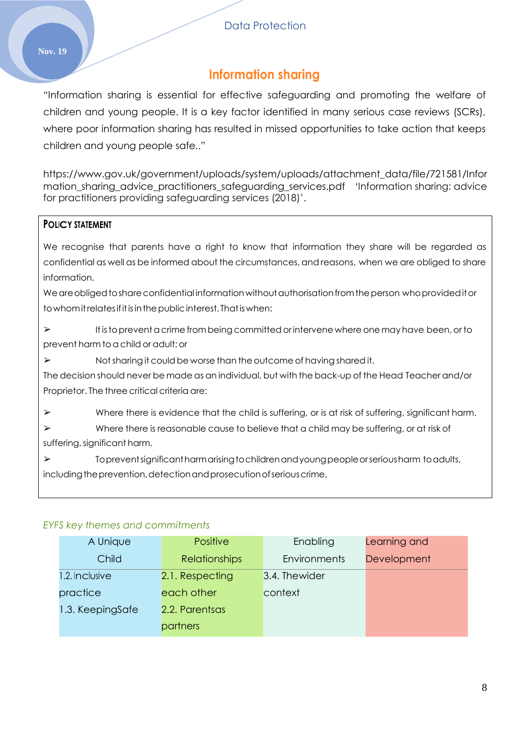# **Information sharing**

"Information sharing is essential for effective safeguarding and promoting the welfare of children and young people. It is a key factor identified in many serious case reviews (SCRs), where poor information sharing has resulted in missed opportunities to take action that keeps children and young people safe.."

[https://www.gov.uk/government/uploads/system/uploads/attachment\\_data/file/721581/Infor](https://www.gov.uk/government/uploads/system/uploads/attachment_data/file/721581/Information_sharing_advice_practitioners_safeguarding_services.pdf) [mation\\_sharing\\_advice\\_practitioners\\_safeguarding\\_services.pdf](https://www.gov.uk/government/uploads/system/uploads/attachment_data/file/721581/Information_sharing_advice_practitioners_safeguarding_services.pdf) 'Information sharing: advice for practitioners providing safeguarding services (2018)'.

### **POLICY STATEMENT**

We recognise that parents have a right to know that information they share will be regarded as confidential as well as be informed about the circumstances, and reasons, when we are obliged to share information.

We are obliged to share confidential information without authorisation from the person who provided it or towhomitrelatesifitisinthepublicinterest. Thatiswhen:

 $\triangleright$  It is to prevent a crime from being committed or intervene where one may have been, or to prevent harm to a child or adult; or

➢ Notsharing it could be worse than the outcome of having shared it.

The decision should never be made as an individual, but with the back-up of the Head Teacher and/or Proprietor. The three critical criteria are:

➢ Where there is evidence that the child is suffering, or is at risk of suffering, significant harm.

- $\triangleright$  Where there is reasonable cause to believe that a child may be suffering, or at risk of suffering, significant harm.
- ➢ Topreventsignificantharmarisingtochildrenandyoungpeopleorseriousharm toadults, including the prevention, detection and prosecution of serious crime.

### *EYFS key themes and commitments*

| A Unique         | Positive             | Enabling            | Learning and |
|------------------|----------------------|---------------------|--------------|
| Child            | <b>Relationships</b> | <b>Environments</b> | Development  |
| 1.2. Inclusive   | 2.1. Respecting      | 3.4. Thewider       |              |
| practice         | each other           | context             |              |
| 1.3. KeepingSafe | 2.2. Parentsas       |                     |              |
|                  | partners             |                     |              |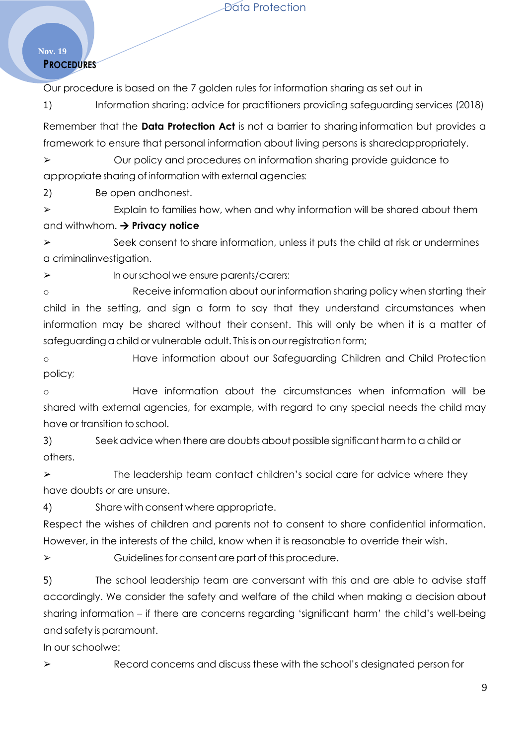#### **Nov. 19 PROCEDURES**

Our procedure is based on the 7 golden rules for information sharing as set out in

1) Information sharing: advice for practitioners providing safeguarding services (2018)

Remember that the **Data Protection Act** is not a barrier to sharinginformation but provides a framework to ensure that personal information about living persons is shared appropriately.

➢ Our policy and procedures on information sharing provide guidance to appropriate sharing of information with external agencies:

2) Be open andhonest.

 $\triangleright$  Explain to families how, when and why information will be shared about them and withwhom. **Privacy notice**

 $\triangleright$  Seek consent to share information, unless it puts the child at risk or undermines a criminalinvestigation.

➢ In our school we ensure parents/carers:

o Receive information about our information sharing policy when starting their child in the setting, and sign a form to say that they understand circumstances when information may be shared without their consent. This will only be when it is a matter of safeguarding a child or vulnerable adult. This is on our registration form;

o Have information about our Safeguarding Children and Child Protection policy;

o Have information about the circumstances when information will be shared with external agencies, for example, with regard to any special needs the child may have or transition to school.

3) Seek advice when there are doubts about possible significant harm to a child or others.

 $\triangleright$  The leadership team contact children's social care for advice where they have doubts or are unsure.

4) Share with consent where appropriate.

Respect the wishes of children and parents not to consent to share confidential information. However, in the interests of the child, know when it is reasonable to override their wish.

 $\triangleright$  Guidelines for consent are part of this procedure.

5) The school leadership team are conversant with this and are able to advise staff accordingly. We consider the safety and welfare of the child when making a decision about sharing information – if there are concerns regarding 'significant harm' the child's well-being and safety is paramount.

In our schoolwe:

➢ Record concerns and discuss these with the school's designated person for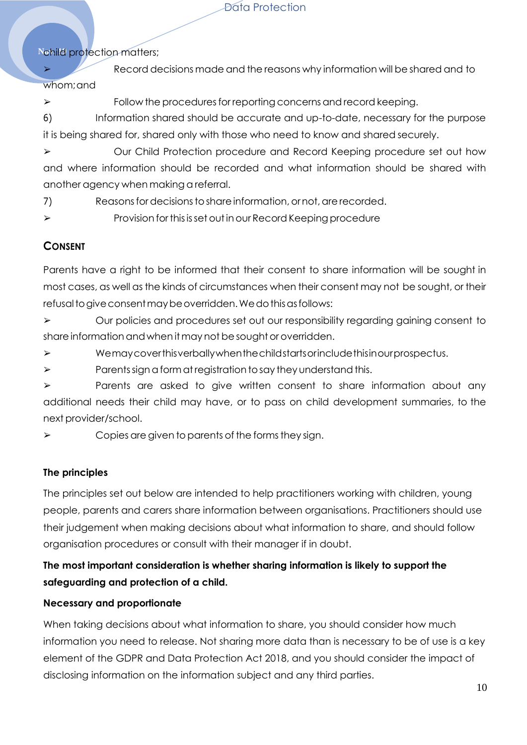## **Nohild protection matters;**

 $\triangleright$  Record decisions made and the reasons why information will be shared and to whom;and

 $\triangleright$  Follow the procedures for reporting concerns and record keeping.

6) Information shared should be accurate and up-to-date, necessary for the purpose it is being shared for, shared only with those who need to know and shared securely.

➢ Our Child Protection procedure and Record Keeping procedure set out how and where information should be recorded and what information should be shared with another agency when making a referral.

7) Reasonsfordecisionstoshareinformation,ornot,are recorded.

 $\triangleright$  Provision for this is set out in our Record Keeping procedure

## **CONSENT**

Parents have a right to be informed that their consent to share information will be sought in most cases, as well as the kinds of circumstances when their consent may not be sought, or their refusal to give consent may be overridden. We do this as follows:

➢ Our policies and procedures set out our responsibility regarding gaining consent to share information and when it may not be sought or overridden.

➢ Wemaycoverthisverballywhenthechildstartsorincludethisinourprospectus.

 $\triangleright$  Parents sign a form at registration to say they understand this.

➢ Parents are asked to give written consent to share information about any additional needs their child may have, or to pass on child development summaries, to the next provider/school.

 $\triangleright$  Copies are given to parents of the forms they sign.

## **The principles**

The principles set out below are intended to help practitioners working with children, young people, parents and carers share information between organisations. Practitioners should use their judgement when making decisions about what information to share, and should follow organisation procedures or consult with their manager if in doubt.

## **The most important consideration is whether sharing information is likely to support the safeguarding and protection of a child.**

## **Necessary and proportionate**

When taking decisions about what information to share, you should consider how much information you need to release. Not sharing more data than is necessary to be of use is a key element of the GDPR and Data Protection Act 2018, and you should consider the impact of disclosing information on the information subject and any third parties.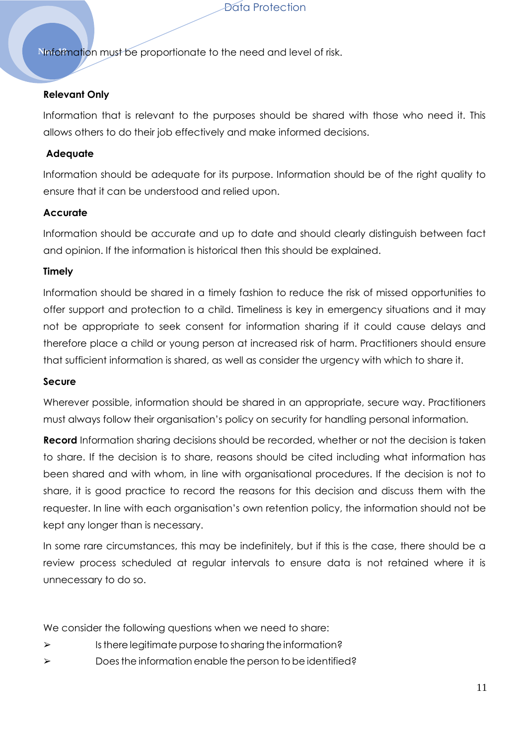Nnformation must be proportionate to the need and level of risk.

#### **Relevant Only**

Information that is relevant to the purposes should be shared with those who need it. This allows others to do their job effectively and make informed decisions.

#### **Adequate**

Information should be adequate for its purpose. Information should be of the right quality to ensure that it can be understood and relied upon.

#### **Accurate**

Information should be accurate and up to date and should clearly distinguish between fact and opinion. If the information is historical then this should be explained.

#### **Timely**

Information should be shared in a timely fashion to reduce the risk of missed opportunities to offer support and protection to a child. Timeliness is key in emergency situations and it may not be appropriate to seek consent for information sharing if it could cause delays and therefore place a child or young person at increased risk of harm. Practitioners should ensure that sufficient information is shared, as well as consider the urgency with which to share it.

#### **Secure**

Wherever possible, information should be shared in an appropriate, secure way. Practitioners must always follow their organisation's policy on security for handling personal information.

**Record** Information sharing decisions should be recorded, whether or not the decision is taken to share. If the decision is to share, reasons should be cited including what information has been shared and with whom, in line with organisational procedures. If the decision is not to share, it is good practice to record the reasons for this decision and discuss them with the requester. In line with each organisation's own retention policy, the information should not be kept any longer than is necessary.

In some rare circumstances, this may be indefinitely, but if this is the case, there should be a review process scheduled at regular intervals to ensure data is not retained where it is unnecessary to do so.

We consider the following questions when we need to share:

- $\triangleright$  Is there legitimate purpose to sharing the information?
- $\triangleright$  Does the information enable the person to be identified?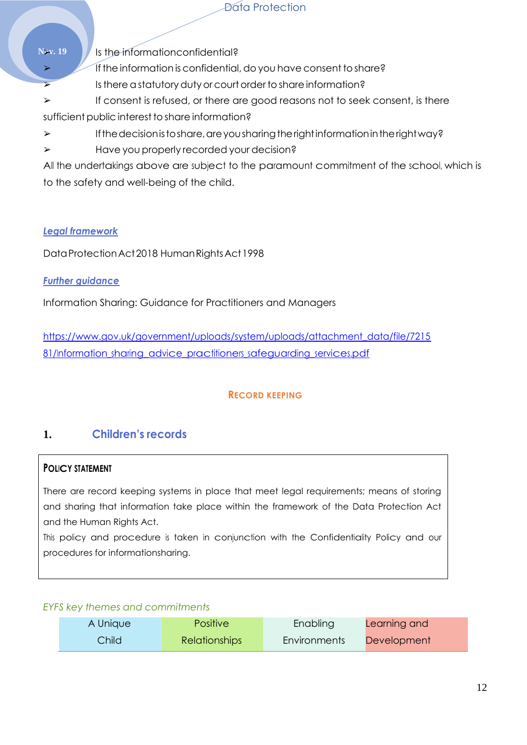**Nov. 19** July 1s the information confidential?

If the information is confidential, do you have consent to share?

 $\triangleright$  Is there a statutory duty or court order to share information?

 $\triangleright$  If consent is refused, or there are good reasons not to seek consent, is there sufficient public interest to share information?

 $\triangleright$  If the decision is to share, are you sharing the right information in the right way?

➢ Have you properly recorded your decision?

All the undertakings above are subject to the paramount commitment of the school, which is to the safety and well-being of the child.

## *Legal framework*

DataProtectionAct2018 HumanRightsAct1998

*Further guidance*

Information Sharing: Guidance for Practitioners and Managers

[https://www.gov.uk/government/uploads/system/uploads/attachment\\_data/file/7215](https://www.gov.uk/government/uploads/system/uploads/attachment_data/file/721581/Information_sharing_advice_practitioners_safeguarding_services.pdf) [81/Information\\_sharing\\_advice\\_practitioners\\_safeguarding\\_services.pdf](https://www.gov.uk/government/uploads/system/uploads/attachment_data/file/721581/Information_sharing_advice_practitioners_safeguarding_services.pdf)

## **RECORD KEEPING**

## **1. Children's records**

## **POLICY STATEMENT**

There are record keeping systems in place that meet legal requirements; means of storing and sharing that information take place within the framework of the Data Protection Act and the Human Rights Act.

This policy and procedure is taken in conjunction with the Confidentiality Policy and our procedures for informationsharing.

### *EYFS key themes and commitments*

| A Unique | <b>Positive</b>      | Enabling            | Learning and |
|----------|----------------------|---------------------|--------------|
| Child    | <b>Relationships</b> | <b>Environments</b> | Development  |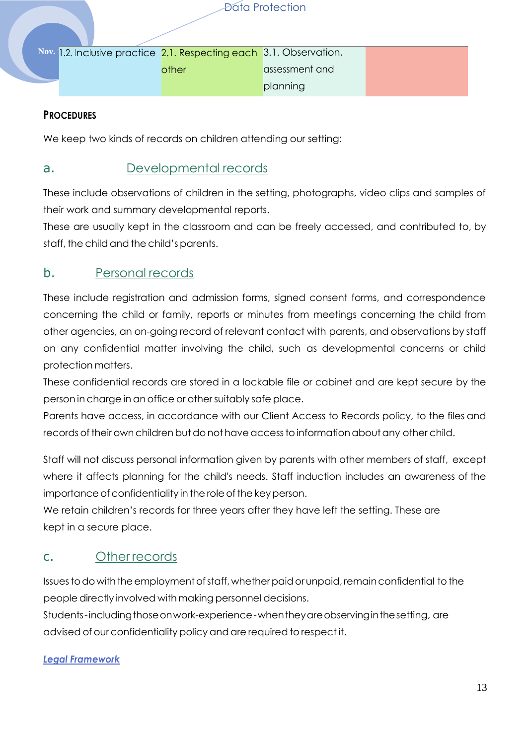Nov. <mark>1.2. Inclusive practice 2.1. Respecting each 3.1. Observation,</mark>

assessment and

planning

#### **PROCEDURES**

We keep two kinds of records on children attending our setting:

other

## a. Developmental records

These include observations of children in the setting, photographs, video clips and samples of their work and summary developmental reports.

These are usually kept in the classroom and can be freely accessed, and contributed to, by staff, the child and the child's parents.

## b. Personal records

These include registration and admission forms, signed consent forms, and correspondence concerning the child or family, reports or minutes from meetings concerning the child from other agencies, an on-going record of relevant contact with parents, and observations by staff on any confidential matter involving the child, such as developmental concerns or child protection matters.

These confidential records are stored in a lockable file or cabinet and are kept secure by the person in charge in an office or othersuitably safe place.

Parents have access, in accordance with our Client Access to Records policy, to the files and records of their own children but do not have access to information about any other child.

Staff will not discuss personal information given by parents with other members of staff, except where it affects planning for the child's needs. Staff induction includes an awareness of the importance of confidentiality in the role of the key person.

We retain children's records for three years after they have left the setting. These are kept in a secure place.

## c. Other records

Issues to do with the employment of staff, whether paid or unpaid, remain confidential to the people directly involved with making personnel decisions.

Students-includingthoseonwork-experience-whentheyareobservinginthesetting, are advised of our confidentiality policy and are required to respect it.

#### *Legal Framework*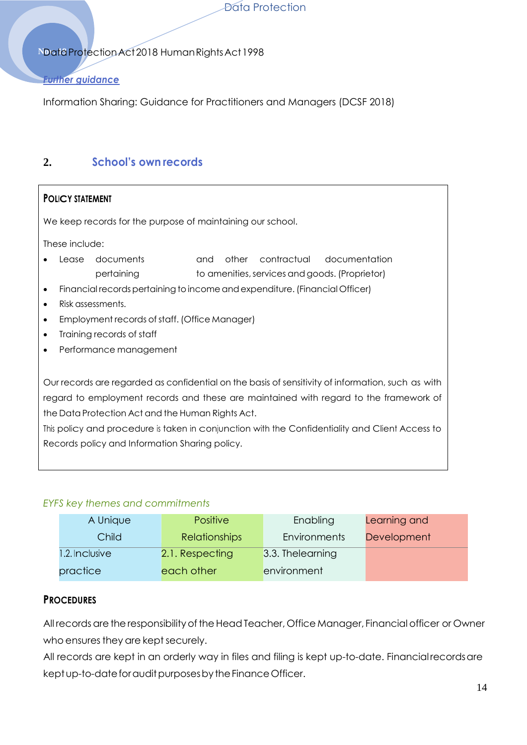#### **NDataProtectionAct2018 Human Rights Act 1998**

#### *Further guidance*

Information Sharing: Guidance for Practitioners and Managers (DCSF 2018)

## **2. School's own records**

#### **POLICY STATEMENT**

We keep records for the purpose of maintaining our school.

These include:

- Lease documents and other contractual documentation pertaining to amenities, services and goods. (Proprietor)
- Financial records pertaining to income and expenditure. (Financial Officer)
- Risk assessments.
- Employment records of staff. (Office Manager)
- Training records of staff
- Performance management

Our records are regarded as confidential on the basis of sensitivity of information, such as with regard to employment records and these are maintained with regard to the framework of the Data Protection Act and the Human Rights Act.

This policy and procedure is taken in conjunction with the Confidentiality and Client Access to Records policy and Information Sharing policy.

#### *EYFS key themes and commitments*

| A Unique       | <b>Positive</b>      | Enabling            | Learning and       |
|----------------|----------------------|---------------------|--------------------|
| Child          | <b>Relationships</b> | <b>Environments</b> | <b>Development</b> |
| 1.2. Inclusive | 2.1. Respecting      | 3.3. Thelearning    |                    |
| practice       | each other           | environment         |                    |

#### **PROCEDURES**

All records are the responsibility of the Head Teacher, Office Manager, Financial officer or Owner who ensures they are kept securely.

All records are kept in an orderly way in files and filing is kept up-to-date. Financialrecordsare kept up-to-date for audit purposes by the Finance Officer.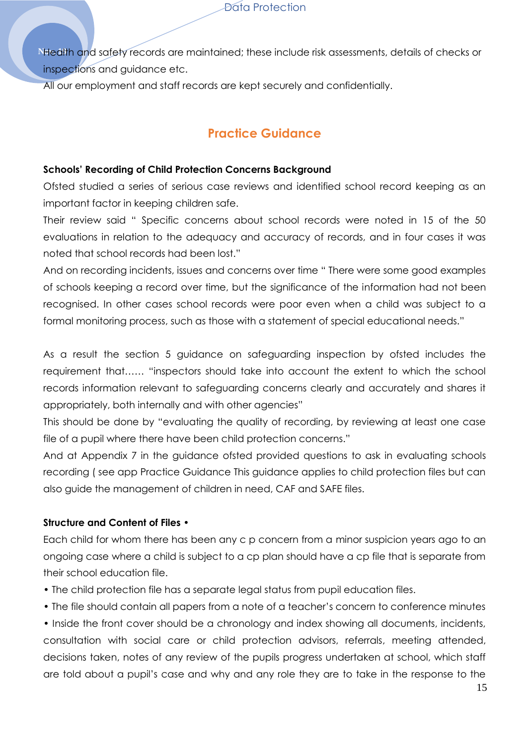N<sub>ide</sub> alth and safety records are maintained; these include risk assessments, details of checks or inspections and guidance etc.

All our employment and staff records are kept securely and confidentially.

# **Practice Guidance**

#### **Schools' Recording of Child Protection Concerns Background**

Ofsted studied a series of serious case reviews and identified school record keeping as an important factor in keeping children safe.

Their review said " Specific concerns about school records were noted in 15 of the 50 evaluations in relation to the adequacy and accuracy of records, and in four cases it was noted that school records had been lost."

And on recording incidents, issues and concerns over time " There were some good examples of schools keeping a record over time, but the significance of the information had not been recognised. In other cases school records were poor even when a child was subject to a formal monitoring process, such as those with a statement of special educational needs."

As a result the section 5 guidance on safeguarding inspection by ofsted includes the requirement that…… "inspectors should take into account the extent to which the school records information relevant to safeguarding concerns clearly and accurately and shares it appropriately, both internally and with other agencies"

This should be done by "evaluating the quality of recording, by reviewing at least one case file of a pupil where there have been child protection concerns."

And at Appendix 7 in the guidance ofsted provided questions to ask in evaluating schools recording ( see app Practice Guidance This guidance applies to child protection files but can also guide the management of children in need, CAF and SAFE files.

### **Structure and Content of Files •**

Each child for whom there has been any c p concern from a minor suspicion years ago to an ongoing case where a child is subject to a cp plan should have a cp file that is separate from their school education file.

- The child protection file has a separate legal status from pupil education files.
- The file should contain all papers from a note of a teacher's concern to conference minutes

• Inside the front cover should be a chronology and index showing all documents, incidents, consultation with social care or child protection advisors, referrals, meeting attended, decisions taken, notes of any review of the pupils progress undertaken at school, which staff are told about a pupil's case and why and any role they are to take in the response to the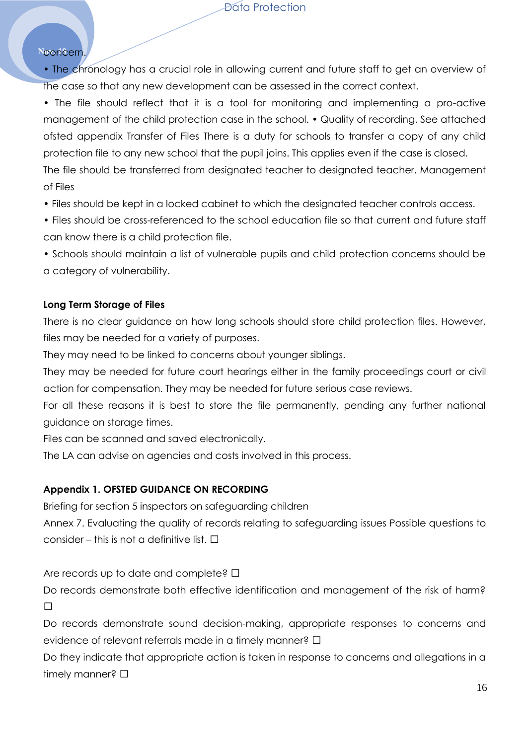#### Nooncern.

• The chronology has a crucial role in allowing current and future staff to get an overview of the case so that any new development can be assessed in the correct context.

• The file should reflect that it is a tool for monitoring and implementing a pro-active management of the child protection case in the school. • Quality of recording. See attached ofsted appendix Transfer of Files There is a duty for schools to transfer a copy of any child protection file to any new school that the pupil joins. This applies even if the case is closed. The file should be transferred from designated teacher to designated teacher. Management of Files

• Files should be kept in a locked cabinet to which the designated teacher controls access.

• Files should be cross-referenced to the school education file so that current and future staff can know there is a child protection file.

• Schools should maintain a list of vulnerable pupils and child protection concerns should be a category of vulnerability.

#### **Long Term Storage of Files**

There is no clear guidance on how long schools should store child protection files. However, files may be needed for a variety of purposes.

They may need to be linked to concerns about younger siblings.

They may be needed for future court hearings either in the family proceedings court or civil action for compensation. They may be needed for future serious case reviews.

For all these reasons it is best to store the file permanently, pending any further national guidance on storage times.

Files can be scanned and saved electronically.

The LA can advise on agencies and costs involved in this process.

#### **Appendix 1. OFSTED GUIDANCE ON RECORDING**

Briefing for section 5 inspectors on safeguarding children

Annex 7. Evaluating the quality of records relating to safeguarding issues Possible questions to consider  $-$  this is not a definitive list.

Are records up to date and complete?

Do records demonstrate both effective identification and management of the risk of harm? ,,

Do records demonstrate sound decision-making, appropriate responses to concerns and evidence of relevant referrals made in a timely manner?,

Do they indicate that appropriate action is taken in response to concerns and allegations in a timely manner?,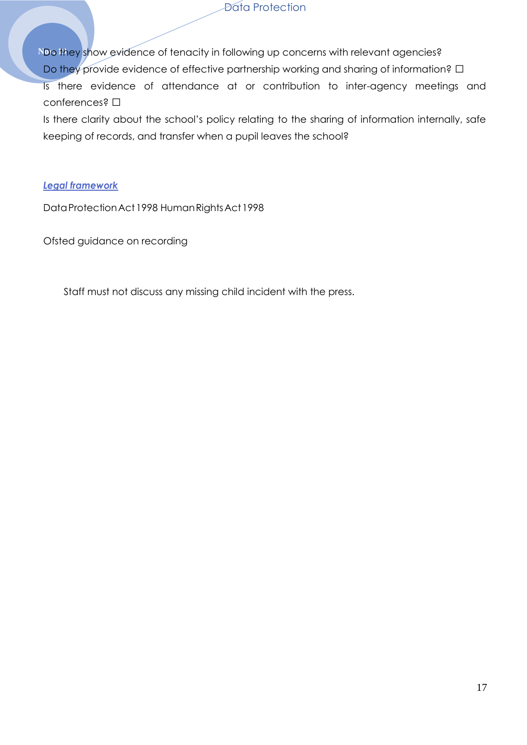No they show evidence of tenacity in following up concerns with relevant agencies? Do they provide evidence of effective partnership working and sharing of information?,

Is there evidence of attendance at or contribution to inter-agency meetings and

conferences?, Is there clarity about the school's policy relating to the sharing of information internally, safe keeping of records, and transfer when a pupil leaves the school?

#### *Legal framework*

DataProtectionAct1998 HumanRightsAct1998

Ofsted guidance on recording

Staff must not discuss any missing child incident with the press.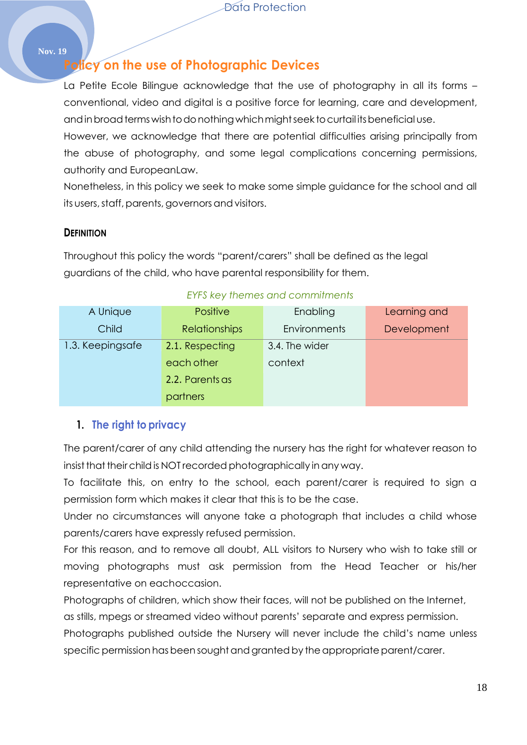#### **Nov. 19**

# **Policy on the use of Photographic Devices**

La Petite Ecole Bilingue acknowledge that the use of photography in all its forms conventional, video and digital is a positive force for learning, care and development, and in broad terms wish to do nothing which might seek to curtail its beneficial use.

However, we acknowledge that there are potential difficulties arising principally from the abuse of photography, and some legal complications concerning permissions, authority and EuropeanLaw.

Nonetheless, in this policy we seek to make some simple guidance for the school and all its users, staff, parents, governors and visitors.

### **DEFINITION**

Throughout this policy the words "parent/carers" shall be defined as the legal guardians of the child, who have parental responsibility for them.

| A Unique         | <b>Positive</b>      | Enabling       | Learning and |
|------------------|----------------------|----------------|--------------|
| Child            | <b>Relationships</b> | Environments   | Development  |
| 1.3. Keepingsafe | 2.1. Respecting      | 3.4. The wider |              |
|                  | each other           | context        |              |
|                  | 2.2. Parents as      |                |              |
|                  | partners             |                |              |

#### *EYFS key themes and commitments*

## **1. The right to privacy**

The parent/carer of any child attending the nursery has the right for whatever reason to insist that their child is NOT recorded photographically in any way.

To facilitate this, on entry to the school, each parent/carer is required to sign a permission form which makes it clear that this is to be the case.

Under no circumstances will anyone take a photograph that includes a child whose parents/carers have expressly refused permission.

For this reason, and to remove all doubt, ALL visitors to Nursery who wish to take still or moving photographs must ask permission from the Head Teacher or his/her representative on eachoccasion.

Photographs of children, which show their faces, will not be published on the Internet,

as stills, mpegs or streamed video without parents' separate and express permission.

Photographs published outside the Nursery will never include the child's name unless specific permission has been sought and granted by the appropriate parent/carer.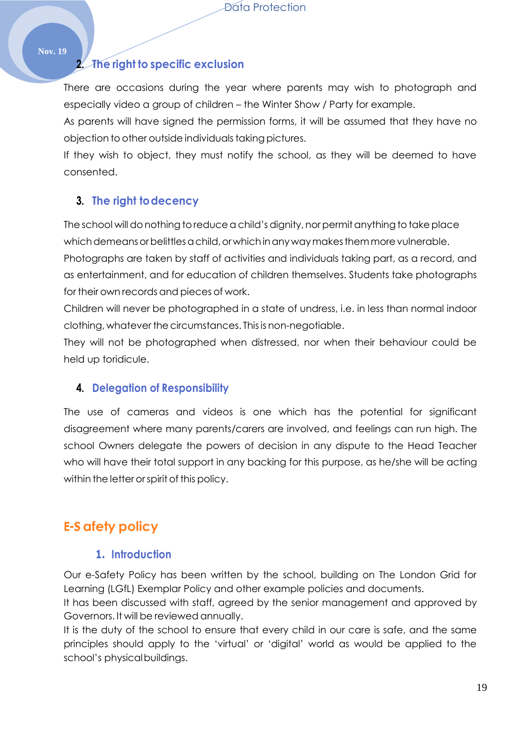# **2. The right to specific exclusion**

There are occasions during the year where parents may wish to photograph and especially video a group of children – the Winter Show / Party for example.

As parents will have signed the permission forms, it will be assumed that they have no objection to other outside individuals taking pictures.

If they wish to object, they must notify the school, as they will be deemed to have consented.

## **3. The right todecency**

The school will donothing to reduce a child's dignity, norpermit anything to take place which demeans or belittles a child, or which in any way makes them more vulnerable. Photographs are taken by staff of activities and individuals taking part, as a record, and as entertainment, and for education of children themselves. Students take photographs for their own records and pieces of work.

Children will never be photographed in a state of undress, i.e. in less than normal indoor clothing, whatever the circumstances. This is non-negotiable.

They will not be photographed when distressed, nor when their behaviour could be held up toridicule.

## **4. Delegation of Responsibility**

The use of cameras and videos is one which has the potential for significant disagreement where many parents/carers are involved, and feelings can run high. The school Owners delegate the powers of decision in any dispute to the Head Teacher who will have their total support in any backing for this purpose, as he/she will be acting within the letter or spirit of this policy.

# **E-S afety policy**

## **1. Introduction**

Our e-Safety Policy has been written by the school, building on The London Grid for Learning (LGfL) Exemplar Policy and other example policies and documents.

It has been discussed with staff, agreed by the senior management and approved by Governors. It will be reviewed annually.

It is the duty of the school to ensure that every child in our care is safe, and the same principles should apply to the 'virtual' or 'digital' world as would be applied to the school's physicalbuildings.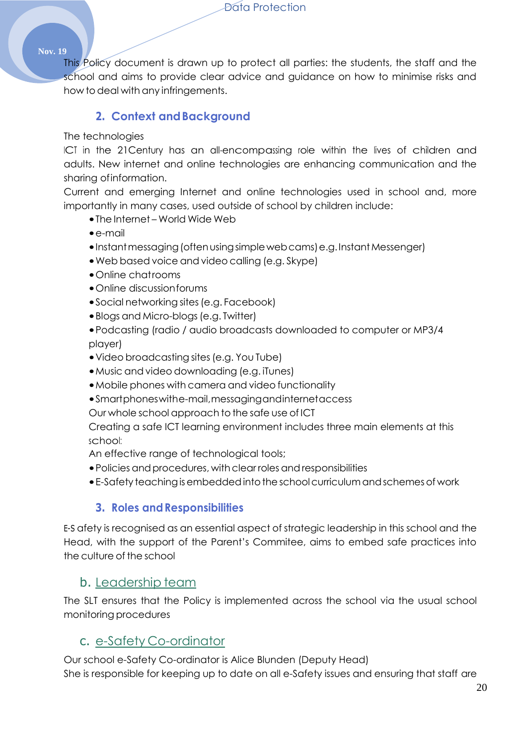#### **Nov. 19**

This Policy document is drawn up to protect all parties: the students, the staff and the school and aims to provide clear advice and guidance on how to minimise risks and how todeal with any infringements.

### **2. Context andBackground**

#### The technologies

ICT in the 21Century has an all-encompassing role within the lives of children and adults. New internet and online technologies are enhancing communication and the sharing ofinformation.

Current and emerging Internet and online technologies used in school and, more importantly in many cases, used outside of school by children include:

- •The Internet World Wide Web
- •e-mail
- •Instantmessaging(oftenusingsimplewebcams)e.g.InstantMessenger)
- •Web based voice and video calling (e.g. Skype)
- •Online chatrooms
- •Online discussionforums
- Social networking sites (e.g. Facebook)
- Blogs and Micro-blogs (e.g. Twitter)
- •Podcasting (radio / audio broadcasts downloaded to computer or MP3/4 player)
- •Video broadcasting sites(e.g. You Tube)
- •Music and video downloading (e.g. iTunes)
- •Mobile phones with camera and video functionality
- •Smartphoneswithe-mail,messagingandinternetaccess

Our whole school approach to the safe use of ICT

Creating a safe ICT learning environment includes three main elements at this school:

An effective range of technological tools;

- Policies and procedures, with clear roles and responsibilities
- E-Safety teaching is embedded into the school curriculum and schemes of work

### **3. Roles andResponsibilities**

E-S afety is recognised as an essential aspect of strategic leadership in this school and the Head, with the support of the Parent's Commitee, aims to embed safe practices into the culture of the school

## b. Leadership team

The SLT ensures that the Policy is implemented across the school via the usual school monitoring procedures

### c. e-Safety Co-ordinator

Our school e-Safety Co-ordinator is Alice Blunden (Deputy Head) She is responsible for keeping up to date on all e-Safety issues and ensuring that staff are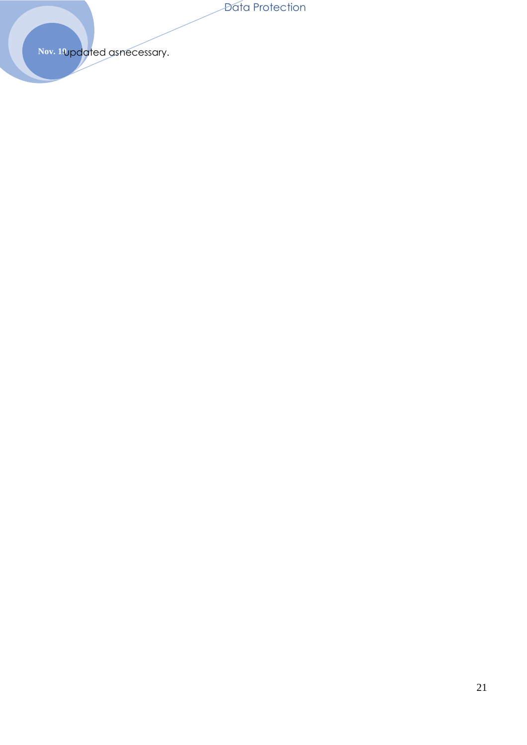Nov. 1Updated asnecessary.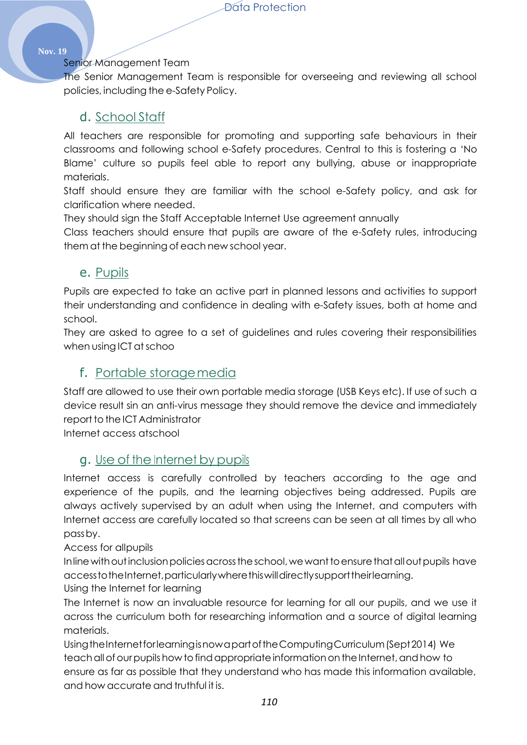#### **Nov. 19**

#### Senior Management Team

The Senior Management Team is responsible for overseeing and reviewing all school policies, including the e-Safety Policy.

## d. School Staff

All teachers are responsible for promoting and supporting safe behaviours in their classrooms and following school e-Safety procedures. Central to this is fostering a 'No Blame' culture so pupils feel able to report any bullying, abuse or inappropriate materials.

Staff should ensure they are familiar with the school e-Safety policy, and ask for clarification where needed.

They should sign the Staff Acceptable Internet Use agreement annually

Class teachers should ensure that pupils are aware of the e-Safety rules, introducing them at the beginning of each new school year.

## e. Pupils

Pupils are expected to take an active part in planned lessons and activities to support their understanding and confidence in dealing with e-Safety issues, both at home and school.

They are asked to agree to a set of guidelines and rules covering their responsibilities when using ICT at schoo

## f. Portable storagemedia

Staff are allowed to use their own portable media storage (USB Keys etc). If use of such a device result sin an anti-virus message they should remove the device and immediately report to the ICT Administrator

Internet access atschool

## g. Use of the Internet by pupils

Internet access is carefully controlled by teachers according to the age and experience of the pupils, and the learning objectives being addressed. Pupils are always actively supervised by an adult when using the Internet, and computers with Internet access are carefully located so that screens can be seen at all times by all who passby.

Access for allpupils

In line with out inclusion policies across the school, we want to ensure that all out pupils have accesstotheInternet,particularlywherethiswilldirectlysupporttheirlearning.

Using the Internet for learning

The Internet is now an invaluable resource for learning for all our pupils, and we use it across the curriculum both for researching information and a source of digital learning materials.

UsingtheInternetforlearningisnowapartoftheComputingCurriculum(Sept2014) We teach all of our pupils how to find appropriate information on the Internet, and how to ensure as far as possible that they understand who has made this information available, and how accurate and truthful it is.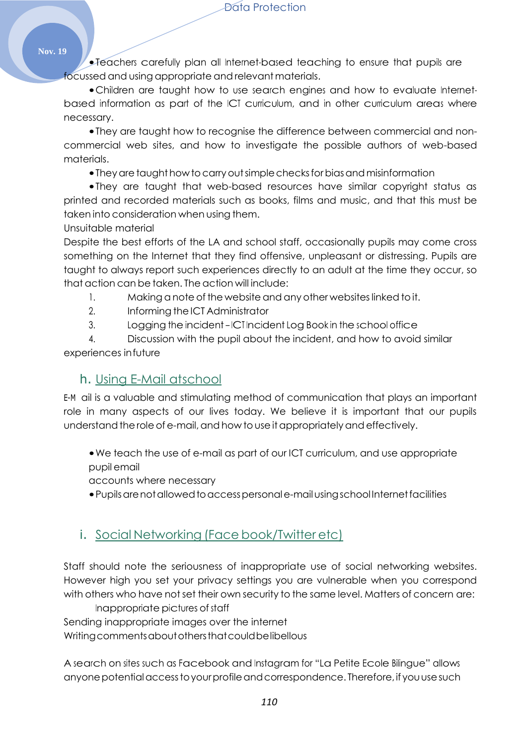•Teachers carefully plan all Internet-based teaching to ensure that pupils are focussed and using appropriate and relevant materials.

•Children are taught how to use search engines and how to evaluate Internetbased information as part of the ICT curriculum, and in other curriculum areas where necessary.

•They are taught how to recognise the difference between commercial and noncommercial web sites, and how to investigate the possible authors of web-based materials.

• They are taught how to carry out simple checks for bias and misinformation

•They are taught that web-based resources have similar copyright status as printed and recorded materials such as books, films and music, and that this must be taken into consideration when using them.

Unsuitable material

Despite the best efforts of the LA and school staff, occasionally pupils may come cross something on the Internet that they find offensive, unpleasant or distressing. Pupils are taught to always report such experiences directly to an adult at the time they occur, so that action can be taken. The action will include:

- 1. Making a note of the website and any other websiteslinked toit.
- 2. Informing the ICT Administrator
- 3. Logging the incident ICT Incident Log Book in the school office

4. Discussion with the pupil about the incident, and how to avoid similar experiences infuture

## h. Using E-Mail atschool

E-M ail is a valuable and stimulating method of communication that plays an important role in many aspects of our lives today. We believe it is important that our pupils understand the role of e-mail, and how to use it appropriately and effectively.

•We teach the use of e-mail as part of our ICT curriculum, and use appropriate pupil email

accounts where necessary

•Pupilsarenotallowedtoaccesspersonale-mailusingschool Internetfacilities

## i. Social Networking (Face book/Twitter etc)

Staff should note the seriousness of inappropriate use of social networking websites. However high you set your privacy settings you are vulnerable when you correspond with others who have not set their own security to the same level. Matters of concern are:

Inappropriate pictures of staff

Sending inappropriate images over the internet

Writing comments about others that could be libellous

A search on sites such as Facebook and Instagram for "La Petite Ecole Bilingue" allows anyone potential access to your profile and correspondence. Therefore, if you use such

**Nov. 19**